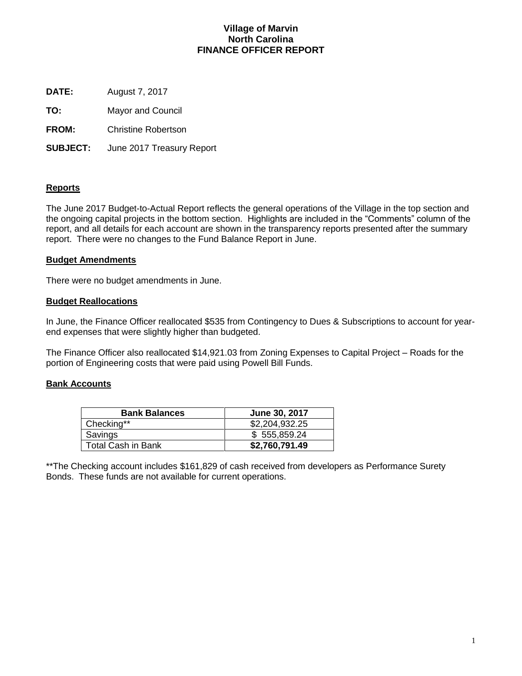# **Village of Marvin North Carolina FINANCE OFFICER REPORT**

**DATE:** August 7, 2017

**TO:** Mayor and Council

**FROM:** Christine Robertson

**SUBJECT:** June 2017 Treasury Report

# **Reports**

The June 2017 Budget-to-Actual Report reflects the general operations of the Village in the top section and the ongoing capital projects in the bottom section. Highlights are included in the "Comments" column of the report, and all details for each account are shown in the transparency reports presented after the summary report. There were no changes to the Fund Balance Report in June.

# **Budget Amendments**

There were no budget amendments in June.

# **Budget Reallocations**

In June, the Finance Officer reallocated \$535 from Contingency to Dues & Subscriptions to account for yearend expenses that were slightly higher than budgeted.

The Finance Officer also reallocated \$14,921.03 from Zoning Expenses to Capital Project – Roads for the portion of Engineering costs that were paid using Powell Bill Funds.

# **Bank Accounts**

| <b>Bank Balances</b>      | June 30, 2017  |
|---------------------------|----------------|
| Checking**                | \$2,204,932.25 |
| Savings                   | \$555,859.24   |
| <b>Total Cash in Bank</b> | \$2,760,791.49 |

\*\*The Checking account includes \$161,829 of cash received from developers as Performance Surety Bonds. These funds are not available for current operations.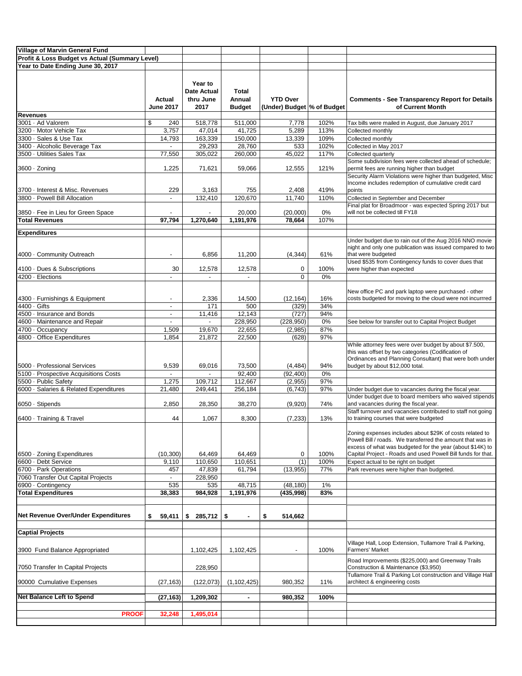| <b>Village of Marvin General Fund</b>          |                          |                                            |                   |                            |             |                                                                                                                                                                                     |
|------------------------------------------------|--------------------------|--------------------------------------------|-------------------|----------------------------|-------------|-------------------------------------------------------------------------------------------------------------------------------------------------------------------------------------|
| Profit & Loss Budget vs Actual (Summary Level) |                          |                                            |                   |                            |             |                                                                                                                                                                                     |
| Year to Date Ending June 30, 2017              |                          |                                            |                   |                            |             |                                                                                                                                                                                     |
|                                                | Actual                   | Year to<br><b>Date Actual</b><br>thru June | Total<br>Annual   | <b>YTD Over</b>            |             | <b>Comments - See Transparency Report for Details</b>                                                                                                                               |
|                                                | <b>June 2017</b>         | 2017                                       | <b>Budget</b>     | (Under) Budget % of Budget |             | of Current Month                                                                                                                                                                    |
| <b>Revenues</b><br>3001 · Ad Valorem           | \$<br>240                | 518,778                                    | 511,000           | 7,778                      | 102%        |                                                                                                                                                                                     |
| 3200 · Motor Vehicle Tax                       | 3,757                    | 47,014                                     | 41,725            | 5,289                      | 113%        | Tax bills were mailed in August, due January 2017<br>Collected monthly                                                                                                              |
| 3300 · Sales & Use Tax                         | 14,793                   | 163,339                                    | 150,000           | 13,339                     | 109%        | Collected monthly                                                                                                                                                                   |
| 3400 · Alcoholic Beverage Tax                  | $\overline{\phantom{a}}$ | 29,293                                     | 28,760            | 533                        | 102%        | Collected in May 2017                                                                                                                                                               |
| 3500 · Utilities Sales Tax                     | 77,550                   | 305,022                                    | 260,000           | 45,022                     | 117%        | Collected quarterly                                                                                                                                                                 |
| 3600 · Zoning                                  | 1,225                    | 71,621                                     | 59,066            | 12,555                     | 121%        | Some subdivision fees were collected ahead of schedule;<br>permit fees are running higher than budget                                                                               |
|                                                |                          |                                            |                   |                            |             | Security Alarm Violations were higher than budgeted, Misc<br>Income includes redemption of cumulative credit card                                                                   |
| 3700 · Interest & Misc. Revenues               | 229                      | 3,163                                      | 755               | 2,408                      | 419%        | points                                                                                                                                                                              |
| 3800 · Powell Bill Allocation                  | $\blacksquare$           | 132,410                                    | 120,670           | 11,740                     | 110%        | Collected in September and December                                                                                                                                                 |
| 3850 · Fee in Lieu for Green Space             | $\blacksquare$           |                                            | 20,000            | (20,000)                   | 0%          | Final plat for Broadmoor - was expected Spring 2017 but<br>will not be collected till FY18                                                                                          |
| <b>Total Revenues</b>                          | 97,794                   | 1,270,640                                  | 1,191,976         | 78,664                     | 107%        |                                                                                                                                                                                     |
| <b>Expenditures</b>                            |                          |                                            |                   |                            |             |                                                                                                                                                                                     |
|                                                |                          |                                            |                   |                            |             | Under budget due to rain out of the Aug 2016 NNO movie                                                                                                                              |
| 4000 Community Outreach                        | ÷,                       | 6,856                                      | 11,200            | (4, 344)                   | 61%         | night and only one publication was issued compared to two<br>that were budgeted                                                                                                     |
|                                                |                          |                                            |                   |                            |             | Used \$535 from Contingency funds to cover dues that                                                                                                                                |
| 4100 · Dues & Subscriptions                    | 30                       | 12,578                                     | 12,578            | 0                          | 100%        | were higher than expected                                                                                                                                                           |
| 4200 · Elections                               | $\overline{\phantom{a}}$ | $\blacksquare$                             | $\blacksquare$    | $\mathbf 0$                | 0%          |                                                                                                                                                                                     |
| 4300 · Furnishings & Equipment                 | $\blacksquare$           | 2,336                                      | 14,500            | (12, 164)                  | 16%         | New office PC and park laptop were purchased - other<br>costs budgeted for moving to the cloud were not incurrred                                                                   |
| $4400 \cdot$ Gifts                             | $\overline{a}$           | 171                                        | 500               | (329)                      | 34%         |                                                                                                                                                                                     |
| 4500 · Insurance and Bonds                     | $\blacksquare$           | 11,416                                     | 12,143            | (727)                      | 94%         |                                                                                                                                                                                     |
| 4600 · Maintenance and Repair                  | $\overline{a}$           | $\blacksquare$                             | 228,950           | (228, 950)                 | 0%          | See below for transfer out to Capital Project Budget                                                                                                                                |
| 4700 · Occupancy                               | 1,509                    | 19,670                                     | 22,655            | (2,985)                    | 87%         |                                                                                                                                                                                     |
| 4800 · Office Expenditures                     | 1,854                    | 21,872                                     | 22,500            | (628)                      | 97%         |                                                                                                                                                                                     |
|                                                |                          |                                            |                   |                            |             | While attorney fees were over budget by about \$7.500,<br>this was offset by two categories (Codification of<br>Ordinances and Planning Consultant) that were both under            |
| 5000 · Professional Services                   | 9,539                    | 69,016                                     | 73,500            | (4, 484)                   | 94%         | budget by about \$12,000 total.                                                                                                                                                     |
| 5100 - Prospective Acquisitions Costs          |                          |                                            | 92,400            | (92, 400)                  | 0%          |                                                                                                                                                                                     |
| 5500 - Public Safety                           | 1,275                    | 109,712                                    | 112,667           | (2,955)                    | 97%         |                                                                                                                                                                                     |
| 6000 · Salaries & Related Expenditures         | 21,480                   | 249,441                                    | 256,184           | (6, 743)                   | 97%         | Under budget due to vacancies during the fiscal year.<br>Under budget due to board members who waived stipends                                                                      |
| 6050 · Stipends                                | 2,850                    | 28,350                                     | 38,270            | (9,920)                    | 74%         | and vacancies during the fiscal year.<br>Staff turnover and vacancies contributed to staff not going                                                                                |
| 6400 · Training & Travel                       | 44                       | 1,067                                      | 8,300             | (7, 233)                   | 13%         | to training courses that were budgeted                                                                                                                                              |
|                                                |                          |                                            |                   |                            |             | Zoning expenses includes about \$29K of costs related to<br>Powell Bill / roads. We transferred the amount that was in<br>excess of what was budgeted for the year (about \$14K) to |
| 6500 · Zoning Expenditures                     | (10, 300)                | 64,469                                     | 64,469            | 0                          | 100%        | Capital Project - Roads and used Powell Bill funds for that.                                                                                                                        |
| 6600 · Debt Service<br>6700 · Park Operations  | 9,110                    | 110,650<br>47,839                          | 110,651<br>61,794 | (1)<br>(13,955)            | 100%<br>77% | Expect actual to be right on budget<br>Park revenues were higher than budgeted.                                                                                                     |
| 7060 Transfer Out Capital Projects             | 457                      | 228,950                                    |                   |                            |             |                                                                                                                                                                                     |
| 6900 · Contingency                             | 535                      | 535                                        | 48,715            | (48, 180)                  | 1%          |                                                                                                                                                                                     |
| <b>Total Expenditures</b>                      | 38,383                   | 984,928                                    | 1,191,976         | (435,998)                  | 83%         |                                                                                                                                                                                     |
|                                                |                          |                                            |                   |                            |             |                                                                                                                                                                                     |
| <b>Net Revenue Over/Under Expenditures</b>     | \$<br>59,411             | 285,712<br>\$                              | \$<br>٠           | \$<br>514,662              |             |                                                                                                                                                                                     |
| <b>Captial Projects</b>                        |                          |                                            |                   |                            |             |                                                                                                                                                                                     |
| 3900 Fund Balance Appropriated                 |                          | 1,102,425                                  | 1,102,425         |                            | 100%        | Village Hall, Loop Extension, Tullamore Trail & Parking,<br><b>Farmers' Market</b>                                                                                                  |
| 7050 Transfer In Capital Projects              |                          | 228,950                                    |                   |                            |             | Road Improvements (\$225,000) and Greenway Trails<br>Construction & Maintenance (\$3,950)                                                                                           |
| 90000 Cumulative Expenses                      | (27, 163)                | (122, 073)                                 | (1, 102, 425)     | 980,352                    | 11%         | Tullamore Trail & Parking Lot construction and Village Hall<br>architect & engineering costs                                                                                        |
| <b>Net Balance Left to Spend</b>               |                          |                                            | $\blacksquare$    |                            | 100%        |                                                                                                                                                                                     |
|                                                | (27, 163)                | 1,209,302                                  |                   | 980,352                    |             |                                                                                                                                                                                     |
| <b>PROOF</b>                                   | 32,248                   | 1,495,014                                  |                   |                            |             |                                                                                                                                                                                     |
|                                                |                          |                                            |                   |                            |             |                                                                                                                                                                                     |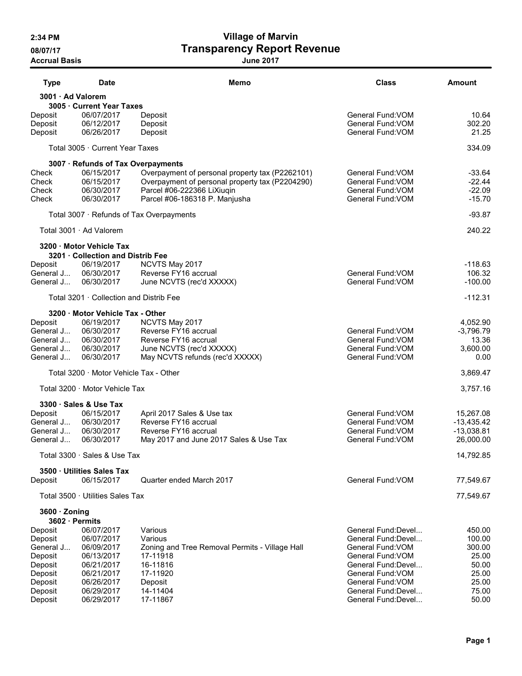# 2:34 PM Village of Marvin 08/07/17 **Transparency Report Revenue**

Accrual Basis June 2017

| <b>Type</b>                     | <b>Date</b>                                                   | Memo                                            | <b>Class</b>        | <b>Amount</b> |
|---------------------------------|---------------------------------------------------------------|-------------------------------------------------|---------------------|---------------|
| 3001 · Ad Valorem               |                                                               |                                                 |                     |               |
|                                 | 3005 · Current Year Taxes                                     |                                                 |                     |               |
| Deposit                         | 06/07/2017                                                    | Deposit                                         | General Fund: VOM   | 10.64         |
| Deposit                         | 06/12/2017                                                    | Deposit                                         | General Fund: VOM   | 302.20        |
| Deposit                         | 06/26/2017                                                    | Deposit                                         | General Fund: VOM   | 21.25         |
|                                 | Total 3005 · Current Year Taxes                               |                                                 |                     | 334.09        |
|                                 | 3007 · Refunds of Tax Overpayments                            |                                                 |                     |               |
| Check                           | 06/15/2017                                                    | Overpayment of personal property tax (P2262101) | General Fund: VOM   | $-33.64$      |
| Check                           | 06/15/2017                                                    | Overpayment of personal property tax (P2204290) | General Fund: VOM   | $-22.44$      |
| Check                           | 06/30/2017                                                    | Parcel #06-222366 LiXiuqin                      | General Fund: VOM   | $-22.09$      |
| Check                           | 06/30/2017                                                    | Parcel #06-186318 P. Manjusha                   | General Fund: VOM   | $-15.70$      |
|                                 |                                                               | Total 3007 · Refunds of Tax Overpayments        |                     | $-93.87$      |
|                                 | Total 3001 · Ad Valorem                                       |                                                 |                     | 240.22        |
|                                 | 3200 · Motor Vehicle Tax<br>3201 · Collection and Distrib Fee |                                                 |                     |               |
| Deposit                         | 06/19/2017                                                    | NCVTS May 2017                                  |                     | $-118.63$     |
| General J                       | 06/30/2017                                                    | Reverse FY16 accrual                            | General Fund: VOM   | 106.32        |
| General J                       | 06/30/2017                                                    | June NCVTS (rec'd XXXXX)                        | General Fund: VOM   | $-100.00$     |
|                                 | Total 3201 · Collection and Distrib Fee                       |                                                 |                     | $-112.31$     |
|                                 | 3200 · Motor Vehicle Tax - Other                              |                                                 |                     |               |
| Deposit                         | 06/19/2017                                                    | NCVTS May 2017                                  |                     | 4,052.90      |
| General J                       | 06/30/2017                                                    | Reverse FY16 accrual                            | General Fund: VOM   | $-3,796.79$   |
| General J                       | 06/30/2017                                                    | Reverse FY16 accrual                            | General Fund: VOM   | 13.36         |
| General J                       | 06/30/2017                                                    | June NCVTS (rec'd XXXXX)                        | General Fund: VOM   | 3,600.00      |
| General J                       | 06/30/2017                                                    | May NCVTS refunds (rec'd XXXXX)                 | General Fund: VOM   | 0.00          |
|                                 | Total 3200 · Motor Vehicle Tax - Other                        |                                                 |                     | 3,869.47      |
|                                 | Total 3200 Motor Vehicle Tax                                  |                                                 |                     | 3,757.16      |
|                                 | 3300 · Sales & Use Tax                                        |                                                 |                     |               |
| Deposit                         | 06/15/2017                                                    | April 2017 Sales & Use tax                      | General Fund: VOM   | 15,267.08     |
| General J                       | 06/30/2017                                                    | Reverse FY16 accrual                            | General Fund: VOM   | $-13,435.42$  |
| General J                       | 06/30/2017                                                    | Reverse FY16 accrual                            | General Fund: VOM   | $-13,038.81$  |
| General J                       | 06/30/2017                                                    | May 2017 and June 2017 Sales & Use Tax          | General Fund: VOM   | 26,000.00     |
|                                 | Total 3300 · Sales & Use Tax                                  |                                                 |                     | 14,792.85     |
|                                 | 3500 · Utilities Sales Tax                                    |                                                 |                     |               |
| Deposit                         | 06/15/2017                                                    | Quarter ended March 2017                        | General Fund: VOM   | 77,549.67     |
|                                 | Total 3500 · Utilities Sales Tax                              |                                                 |                     | 77,549.67     |
| 3600 · Zoning<br>3602 · Permits |                                                               |                                                 |                     |               |
| Deposit                         | 06/07/2017                                                    | Various                                         | General Fund: Devel | 450.00        |
| Deposit                         | 06/07/2017                                                    | Various                                         | General Fund:Devel  | 100.00        |
| General J                       | 06/09/2017                                                    | Zoning and Tree Removal Permits - Village Hall  | General Fund: VOM   | 300.00        |
| Deposit                         | 06/13/2017                                                    | 17-11918                                        | General Fund: VOM   | 25.00         |
| Deposit                         | 06/21/2017                                                    | 16-11816                                        | General Fund: Devel | 50.00         |
| Deposit                         | 06/21/2017                                                    | 17-11920                                        | General Fund: VOM   | 25.00         |
| Deposit                         | 06/26/2017                                                    | Deposit                                         | General Fund: VOM   | 25.00         |
| Deposit                         | 06/29/2017                                                    | 14-11404                                        | General Fund:Devel  | 75.00         |
| Deposit                         | 06/29/2017                                                    | 17-11867                                        | General Fund:Devel  | 50.00         |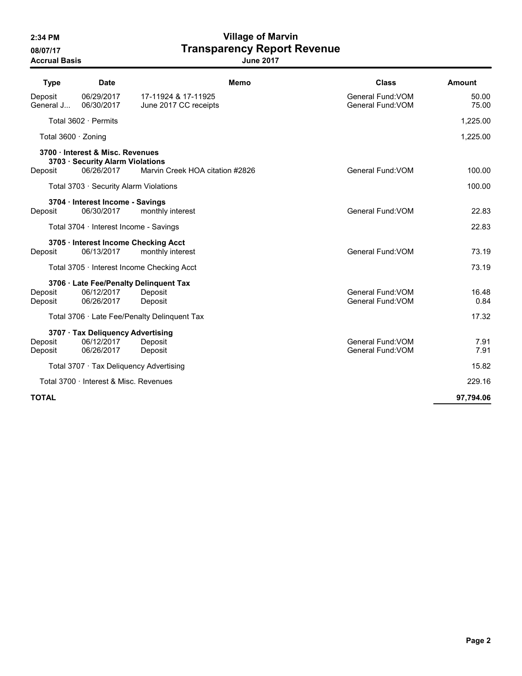Accrual Basis June 2017

# 2:34 PM Village of Marvin 08/07/17 **Transparency Report Revenue**

| <b>Type</b>          | <b>Date</b>                                                          |                                              | <b>Class</b><br><b>Memo</b>            | <b>Amount</b>  |
|----------------------|----------------------------------------------------------------------|----------------------------------------------|----------------------------------------|----------------|
| Deposit<br>General J | 06/29/2017<br>06/30/2017                                             | 17-11924 & 17-11925<br>June 2017 CC receipts | General Fund: VOM<br>General Fund: VOM | 50.00<br>75.00 |
|                      | Total 3602 · Permits                                                 |                                              |                                        | 1,225.00       |
| Total 3600 · Zoning  |                                                                      |                                              |                                        | 1,225.00       |
|                      | 3700 · Interest & Misc. Revenues<br>3703 · Security Alarm Violations |                                              |                                        |                |
| Deposit              | 06/26/2017                                                           | Marvin Creek HOA citation #2826              | General Fund: VOM                      | 100.00         |
|                      | Total 3703 · Security Alarm Violations                               |                                              |                                        | 100.00         |
|                      | 3704 · Interest Income - Savings                                     |                                              |                                        |                |
| Deposit              | 06/30/2017                                                           | monthly interest                             | General Fund: VOM                      | 22.83          |
|                      | Total $3704 \cdot$ Interest Income - Savings                         |                                              |                                        | 22.83          |
|                      |                                                                      | 3705 · Interest Income Checking Acct         |                                        |                |
| Deposit              | 06/13/2017                                                           | monthly interest                             | General Fund: VOM                      | 73.19          |
|                      |                                                                      | Total 3705 · Interest Income Checking Acct   |                                        | 73.19          |
|                      |                                                                      | 3706 · Late Fee/Penalty Delinquent Tax       |                                        |                |
| Deposit              | 06/12/2017                                                           | Deposit                                      | General Fund: VOM                      | 16.48          |
| Deposit              | 06/26/2017                                                           | Deposit                                      | General Fund: VOM                      | 0.84           |
|                      |                                                                      | Total 3706 · Late Fee/Penalty Delinguent Tax |                                        | 17.32          |
|                      | 3707 · Tax Deliquency Advertising                                    |                                              |                                        |                |
| Deposit              | 06/12/2017                                                           | Deposit                                      | General Fund: VOM                      | 7.91           |
| Deposit              | 06/26/2017                                                           | Deposit                                      | General Fund: VOM                      | 7.91           |
|                      |                                                                      | Total 3707 · Tax Deliquency Advertising      |                                        | 15.82          |
|                      | Total 3700 · Interest & Misc. Revenues                               |                                              |                                        | 229.16         |
| <b>TOTAL</b>         |                                                                      |                                              |                                        | 97,794.06      |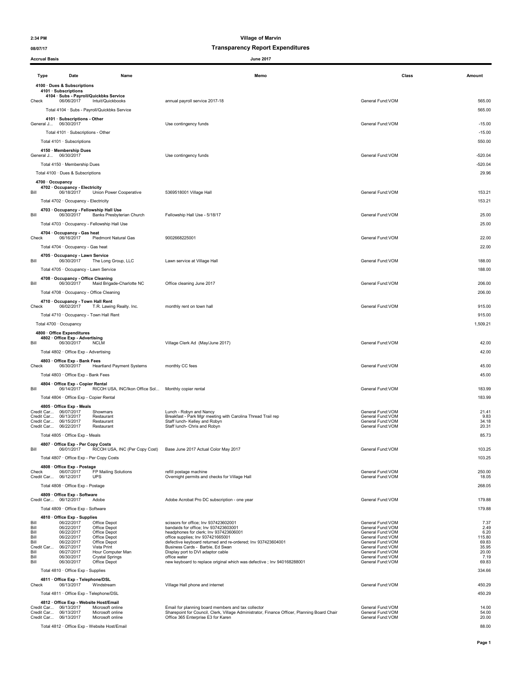## 08/07/17 Transparency Report Expenditures

| <b>Accrual Basis</b> |                                                                   |                                              | <b>June 2017</b>                                                                                                                  |                                        |                    |
|----------------------|-------------------------------------------------------------------|----------------------------------------------|-----------------------------------------------------------------------------------------------------------------------------------|----------------------------------------|--------------------|
| <b>Type</b>          | Date                                                              | Name                                         | Memo                                                                                                                              | Class                                  | Amount             |
|                      | 4100 · Dues & Subscriptions                                       |                                              |                                                                                                                                   |                                        |                    |
|                      | 4101 · Subscriptions                                              | 4104 · Subs - Payroll/Quickbks Service       |                                                                                                                                   |                                        |                    |
| Check                | 06/06/2017                                                        | Intuit/Quickbooks                            | annual payroll service 2017-18                                                                                                    | General Fund: VOM                      | 565.00             |
|                      |                                                                   | Total 4104 · Subs - Payroll/Quickbks Service |                                                                                                                                   |                                        | 565.00             |
|                      | 4101 · Subscriptions - Other<br>General J 06/30/2017              |                                              | Use contingency funds                                                                                                             | General Fund:VOM                       | $-15.00$           |
|                      | Total 4101 · Subscriptions - Other                                |                                              |                                                                                                                                   |                                        | $-15.00$           |
|                      | Total 4101 · Subscriptions                                        |                                              |                                                                                                                                   |                                        | 550.00             |
|                      | 4150 · Membership Dues                                            |                                              |                                                                                                                                   |                                        |                    |
|                      | General J 06/30/2017                                              |                                              | Use contingency funds                                                                                                             | General Fund:VOM                       | $-520.04$          |
|                      | Total 4150 · Membership Dues<br>Total 4100 · Dues & Subscriptions |                                              |                                                                                                                                   |                                        | $-520.04$<br>29.96 |
| 4700 · Occupancy     |                                                                   |                                              |                                                                                                                                   |                                        |                    |
|                      | 4702 · Occupancy - Electricity<br>06/18/2017                      |                                              |                                                                                                                                   | General Fund: VOM                      | 153.21             |
| Bill                 | Total 4702 · Occupancy - Electricity                              | Union Power Cooperative                      | 5369518001 Village Hall                                                                                                           |                                        | 153.21             |
|                      | 4703 · Occupancy - Fellowship Hall Use                            |                                              |                                                                                                                                   |                                        |                    |
| Bill                 | 06/30/2017                                                        | Banks Presbyterian Church                    | Fellowship Hall Use - 5/18/17                                                                                                     | General Fund: VOM                      | 25.00              |
|                      |                                                                   | Total 4703 · Occupancy - Fellowship Hall Use |                                                                                                                                   |                                        | 25.00              |
| Check                | 4704 · Occupancy - Gas heat<br>06/16/2017                         | Piedmont Natural Gas                         | 9002668225001                                                                                                                     | General Fund: VOM                      | 22.00              |
|                      | Total 4704 · Occupancy - Gas heat                                 |                                              |                                                                                                                                   |                                        | 22.00              |
|                      | 4705 · Occupancy - Lawn Service                                   |                                              |                                                                                                                                   |                                        |                    |
| Bill                 | 06/30/2017                                                        | The Long Group, LLC                          | Lawn service at Village Hall                                                                                                      | General Fund: VOM                      | 188.00             |
|                      | Total 4705 · Occupancy - Lawn Service                             |                                              |                                                                                                                                   |                                        | 188.00             |
| Bill                 | 4708 · Occupancy - Office Cleaning<br>06/30/2017                  | Maid Brigade-Charlotte NC                    | Office cleaning June 2017                                                                                                         | General Fund: VOM                      | 206.00             |
|                      | Total 4708 · Occupancy - Office Cleaning                          |                                              |                                                                                                                                   |                                        | 206.00             |
|                      | 4710 · Occupancy - Town Hall Rent                                 |                                              |                                                                                                                                   |                                        |                    |
| Check                | 06/02/2017                                                        | T.R. Lawing Realty. Inc.                     | monthly rent on town hall                                                                                                         | General Fund: VOM                      | 915.00             |
|                      | Total 4710 · Occupancy - Town Hall Rent                           |                                              |                                                                                                                                   |                                        | 915.00             |
|                      | Total 4700 · Occupancy                                            |                                              |                                                                                                                                   |                                        | 1,509.21           |
|                      | 4800 · Office Expenditures<br>4802 Office Exp - Advertising       |                                              |                                                                                                                                   |                                        |                    |
| Bill                 | 06/30/2017                                                        | <b>NCLM</b>                                  | Village Clerk Ad (May/June 2017)                                                                                                  | General Fund: VOM                      | 42.00              |
|                      | Total 4802 · Office Exp - Advertising                             |                                              |                                                                                                                                   |                                        | 42.00              |
| Check                | 4803 Office Exp - Bank Fees<br>06/30/2017                         | <b>Heartland Payment Systems</b>             | monthly CC fees                                                                                                                   | General Fund: VOM                      | 45.00              |
|                      | Total 4803 · Office Exp - Bank Fees                               |                                              |                                                                                                                                   |                                        | 45.00              |
|                      | 4804 Office Exp - Copier Rental                                   |                                              |                                                                                                                                   |                                        |                    |
| Bill                 | 06/14/2017                                                        | RICOH USA, INC/Ikon Office Sol               | Monthly copier rental                                                                                                             | General Fund: VOM                      | 183.99             |
|                      | Total 4804 · Office Exp - Copier Rental                           |                                              |                                                                                                                                   |                                        | 183.99             |
|                      | 4805 · Office Exp - Meals<br>Credit Car 06/07/2017                | Showmars                                     | Lunch - Robyn and Nancy                                                                                                           | General Fund: VOM                      | 21.41              |
|                      | Credit Car 06/13/2017<br>Credit Car 06/15/2017                    | Restaurant<br>Restaurant                     | Breakfast - Park Mgr meeting with Carolina Thread Trail rep<br>Staff lunch- Kelley and Robyn                                      | General Fund:VOM<br>General Fund:VOM   | 9.83<br>34.18      |
|                      | Credit Car 06/22/2017                                             | Restaurant                                   | Staff lunch- Chris and Robyn                                                                                                      | General Fund: VOM                      | 20.31              |
|                      | Total 4805 · Office Exp - Meals                                   |                                              |                                                                                                                                   |                                        | 85.73              |
| Bill                 | 4807 Office Exp - Per Copy Costs<br>06/01/2017                    | RICOH USA, INC (Per Copy Cost)               | Base June 2017 Actual Color May 2017                                                                                              | General Fund:VOM                       | 103.25             |
|                      | Total 4807 · Office Exp - Per Copy Costs                          |                                              |                                                                                                                                   |                                        | 103.25             |
|                      | 4808 · Office Exp - Postage                                       |                                              |                                                                                                                                   |                                        |                    |
| Check<br>Credit Car  | 06/07/2017<br>06/12/2017                                          | FP Mailing Solutions<br><b>UPS</b>           | refill postage machine<br>Overnight permits and checks for Village Hall                                                           | General Fund: VOM<br>General Fund: VOM | 250.00<br>18.05    |
|                      | Total 4808 · Office Exp - Postage                                 |                                              |                                                                                                                                   |                                        | 268.05             |
|                      | 4809 · Office Exp - Software                                      |                                              |                                                                                                                                   |                                        |                    |
|                      | Credit Car 06/12/2017                                             | Adobe                                        | Adobe Acrobat Pro DC subscription - one year                                                                                      | General Fund: VOM                      | 179.88<br>179.88   |
|                      | Total 4809 · Office Exp - Software                                |                                              |                                                                                                                                   |                                        |                    |
| Bill                 | 4810 · Office Exp - Supplies<br>06/22/2017                        | Office Depot                                 | scissors for office: Inv 937423602001                                                                                             | General Fund: VOM                      | 7.37               |
| Bill<br>Bill         | 06/22/2017<br>06/22/2017                                          | Office Depot<br>Office Depot                 | bandaids for office; Inv 937423603001<br>headphones for clerk; Inv 937423606001                                                   | General Fund: VOM<br>General Fund: VOM | 2.49<br>6.20       |
| Bill<br>Bill         | 06/22/2017<br>06/22/2017                                          | Office Depot<br>Office Depot                 | office supplies; Inv 937421665001<br>defective keyboard returned and re-ordered; Inv 937423604001                                 | General Fund: VOM<br>General Fund: VOM | 115.80<br>69.83    |
| Credit Car<br>Bill   | 06/27/2017<br>06/27/2017                                          | Vista Print<br>Hour Computer Man             | Business Cards - Barbie, Ed Swan<br>Display port to DVI adaptor cable                                                             | General Fund:VOM<br>General Fund: VOM  | 35.95<br>20.00     |
| Bill<br>Bill         | 06/30/2017<br>06/30/2017                                          | <b>Crystal Springs</b><br>Office Depot       | office water<br>new keyboard to replace original which was defective; Inv 940168288001                                            | General Fund: VOM<br>General Fund: VOM | 7.19<br>69.83      |
|                      | Total 4810 · Office Exp - Supplies                                |                                              |                                                                                                                                   |                                        | 334.66             |
|                      | 4811 · Office Exp - Telephone/DSL                                 |                                              |                                                                                                                                   |                                        |                    |
| Check                | 06/13/2017                                                        | Windstream                                   | Village Hall phone and internet                                                                                                   | General Fund:VOM                       | 450.29             |
|                      | Total 4811 · Office Exp - Telephone/DSL                           |                                              |                                                                                                                                   |                                        | 450.29             |
|                      | 4812 · Office Exp - Website Host/Email<br>Credit Car 06/13/2017   | Microsoft online                             | Email for planning board members and tax collector                                                                                | General Fund: VOM                      | 14.00              |
|                      | Credit Car 06/13/2017<br>Credit Car 06/13/2017                    | Microsoft online<br>Microsoft online         | Sharepoint for Council, Clerk, Village Administrator, Finance Officer, Planning Board Chair<br>Office 365 Enterprise E3 for Karen | General Fund:VOM<br>General Fund: VOM  | 54.00<br>20.00     |
|                      |                                                                   | Total 4812 · Office Exp - Website Host/Email |                                                                                                                                   |                                        | 88.00              |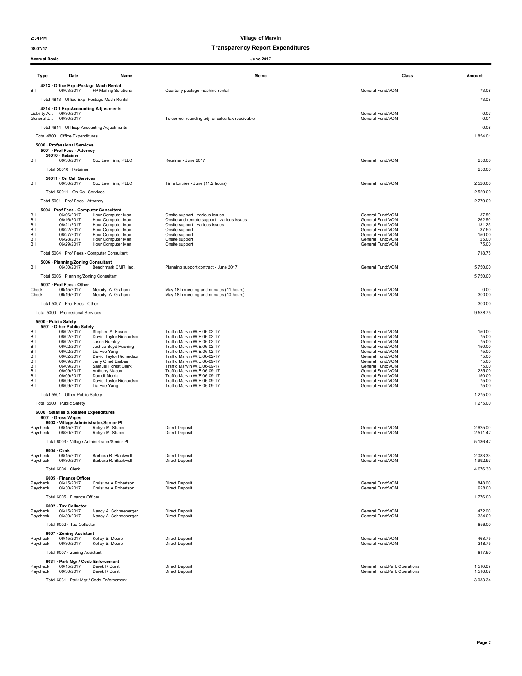### 08/07/17 08/07/17

|                              | <b>Accrual Basis</b>                                                                    |                                                                                    | <b>June 2017</b>                                                                                                         |                                                                                |                                    |
|------------------------------|-----------------------------------------------------------------------------------------|------------------------------------------------------------------------------------|--------------------------------------------------------------------------------------------------------------------------|--------------------------------------------------------------------------------|------------------------------------|
| <b>Type</b>                  | Date                                                                                    | Name                                                                               | Memo                                                                                                                     | Class                                                                          | Amount                             |
|                              | 4813 · Office Exp -Postage Mach Rental                                                  |                                                                                    |                                                                                                                          |                                                                                |                                    |
| Bill                         | 06/03/2017<br>Total 4813 · Office Exp -Postage Mach Rental                              | FP Mailing Solutions                                                               | Quarterly postage machine rental                                                                                         | General Fund: VOM                                                              | 73.08<br>73.08                     |
|                              | 4814 · Off Exp-Accounting Adjustments<br>Liability A 06/30/2017<br>General J 06/30/2017 |                                                                                    | To correct rounding adj for sales tax receivable                                                                         | General Fund:VOM<br>General Fund:VOM                                           | 0.07<br>0.01                       |
|                              | Total 4814 · Off Exp-Accounting Adjustments                                             |                                                                                    |                                                                                                                          |                                                                                | 0.08                               |
|                              | Total 4800 · Office Expenditures                                                        |                                                                                    |                                                                                                                          |                                                                                | 1,854.01                           |
|                              | 5000 · Professional Services<br>5001 · Prof Fees - Attorney<br>50010 · Retainer         |                                                                                    |                                                                                                                          |                                                                                |                                    |
| Bill                         | 06/30/2017                                                                              | Cox Law Firm, PLLC                                                                 | Retainer - June 2017                                                                                                     | General Fund:VOM                                                               | 250.00                             |
|                              | Total 50010 · Retainer                                                                  |                                                                                    |                                                                                                                          |                                                                                | 250.00                             |
| Bill                         | 50011 · On Call Services<br>06/30/2017                                                  | Cox Law Firm, PLLC                                                                 | Time Entries - June (11.2 hours)                                                                                         | General Fund: VOM                                                              | 2,520.00                           |
|                              | Total 50011 · On Call Services                                                          |                                                                                    |                                                                                                                          |                                                                                | 2,520.00                           |
|                              | Total 5001 · Prof Fees - Attorney                                                       |                                                                                    |                                                                                                                          |                                                                                | 2,770.00                           |
| Bill<br>Bill<br>Bill         | 5004 · Prof Fees - Computer Consultant<br>06/06/2017<br>06/16/2017<br>06/21/2017        | Hour Computer Man<br>Hour Computer Man<br>Hour Computer Man                        | Onsite support - various issues<br>Onsite and remote support - various issues<br>Onsite support - various issues         | General Fund: VOM<br>General Fund: VOM<br>General Fund:VOM                     | 37.50<br>262.50<br>131.25          |
| Bill<br>Bill                 | 06/22/2017<br>06/27/2017                                                                | Hour Computer Man<br>Hour Computer Man                                             | Onsite support<br>Onsite support                                                                                         | General Fund:VOM<br>General Fund: VOM                                          | 37.50<br>150.00                    |
| Bill<br>Bill                 | 06/28/2017<br>06/29/2017                                                                | Hour Computer Man<br>Hour Computer Man                                             | Onsite support<br>Onsite support                                                                                         | General Fund:VOM<br>General Fund:VOM                                           | 25.00<br>75.00                     |
|                              | Total 5004 · Prof Fees - Computer Consultant                                            |                                                                                    |                                                                                                                          |                                                                                | 718.75                             |
| Bill                         | 5006 · Planning/Zoning Consultant<br>06/30/2017                                         | Benchmark CMR, Inc.                                                                | Planning support contract - June 2017                                                                                    | General Fund: VOM                                                              | 5,750.00                           |
|                              | Total 5006 · Planning/Zoning Consultant                                                 |                                                                                    |                                                                                                                          |                                                                                | 5,750.00                           |
| Check<br>Check               | 5007 · Prof Fees - Other<br>06/15/2017<br>06/19/2017                                    | Melody A. Graham<br>Melody A. Graham                                               | May 18th meeting and minutes (11 hours)<br>May 18th meeting and minutes (10 hours)                                       | General Fund: VOM<br>General Fund:VOM                                          | 0.00<br>300.00                     |
|                              | Total 5007 · Prof Fees - Other                                                          |                                                                                    |                                                                                                                          |                                                                                | 300.00                             |
|                              | Total 5000 · Professional Services                                                      |                                                                                    |                                                                                                                          |                                                                                | 9,538.75                           |
|                              | 5500 · Public Safety                                                                    |                                                                                    |                                                                                                                          |                                                                                |                                    |
| Bill<br>Bill<br>Bill<br>Bill | 5501 · Other Public Safety<br>06/02/2017<br>06/02/2017<br>06/02/2017<br>06/02/2017      | Stephen A. Eason<br>David Taylor Richardson<br>Jason Rumley<br>Joshua Boyd Rushing | Traffic Marvin W/E 06-02-17<br>Traffic Marvin W/E 06-02-17<br>Traffic Marvin W/E 06-02-17<br>Traffic Marvin W/E 06-02-17 | General Fund:VOM<br>General Fund: VOM<br>General Fund:VOM<br>General Fund: VOM | 150.00<br>75.00<br>75.00<br>150.00 |
| Bill<br>Bill                 | 06/02/2017<br>06/02/2017                                                                | Lia Fue Yang<br>David Taylor Richardson                                            | Traffic Marvin W/E 06-02-17<br>Traffic Marvin W/E 06-02-17                                                               | General Fund:VOM<br>General Fund: VOM                                          | 75.00<br>75.00                     |
| Bill<br>Bill                 | 06/09/2017<br>06/09/2017                                                                | Jerry Chad Barbee<br>Samuel Forest Clark                                           | Traffic Marvin W/E 06-09-17<br>Traffic Marvin W/E 06-09-17                                                               | General Fund: VOM<br>General Fund:VOM                                          | 75.00<br>75.00                     |
| Bill<br>Bill                 | 06/09/2017<br>06/09/2017                                                                | Anthony Mason<br>Darrell Morris                                                    | Traffic Marvin W/E 06-09-17<br>Traffic Marvin W/E 06-09-17                                                               | General Fund:VOM<br>General Fund:VOM                                           | 225.00<br>150.00                   |
| Bill<br>Bill                 | 06/09/2017<br>06/09/2017                                                                | David Taylor Richardson<br>Lia Fue Yang                                            | Traffic Marvin W/E 06-09-17<br>Traffic Marvin W/E 06-09-17                                                               | General Fund: VOM<br>General Fund:VOM                                          | 75.00<br>75.00                     |
|                              | Total 5501 · Other Public Safety                                                        |                                                                                    |                                                                                                                          |                                                                                | 1,275.00                           |
|                              | Total 5500 · Public Safety                                                              |                                                                                    |                                                                                                                          |                                                                                | 1,275.00                           |
|                              | 6000 · Salaries & Related Expenditures                                                  |                                                                                    |                                                                                                                          |                                                                                |                                    |
|                              | 6001 · Gross Wages<br>6003 · Village Administrator/Senior Pl                            |                                                                                    |                                                                                                                          |                                                                                |                                    |
| Paycheck<br>Paycheck         | 06/15/2017<br>06/30/2017                                                                | Robyn M. Stuber<br>Robyn M. Stuber                                                 | <b>Direct Deposit</b><br><b>Direct Deposit</b>                                                                           | General Fund: VOM<br>General Fund:VOM                                          | 2,625.00<br>2,511.42               |
|                              |                                                                                         | Total 6003 · Village Administrator/Senior Pl                                       |                                                                                                                          |                                                                                | 5,136.42                           |
|                              | $6004 \cdot$ Clerk                                                                      |                                                                                    |                                                                                                                          |                                                                                |                                    |
| Paycheck<br>Paycheck         | 06/15/2017<br>06/30/2017                                                                | Barbara R. Blackwell<br>Barbara R. Blackwell                                       | <b>Direct Deposit</b><br><b>Direct Deposit</b>                                                                           | General Fund: VOM<br>General Fund:VOM                                          | 2,083.33<br>1,992.97               |
|                              | Total 6004 · Clerk                                                                      |                                                                                    |                                                                                                                          |                                                                                | 4,076.30                           |
|                              | 6005 · Finance Officer                                                                  |                                                                                    |                                                                                                                          |                                                                                |                                    |
| Paycheck<br>Paycheck         | 06/15/2017<br>06/30/2017                                                                | Christine A Robertson<br>Christine A Robertson                                     | <b>Direct Deposit</b><br><b>Direct Deposit</b>                                                                           | General Fund:VOM<br>General Fund:VOM                                           | 848.00<br>928.00                   |
|                              | Total 6005 · Finance Officer                                                            |                                                                                    |                                                                                                                          |                                                                                | 1,776.00                           |
| Paycheck<br>Paycheck         | 6002 · Tax Collector<br>06/15/2017<br>06/30/2017                                        | Nancy A. Schneeberger<br>Nancy A. Schneeberger                                     | <b>Direct Deposit</b><br><b>Direct Deposit</b>                                                                           | General Fund:VOM<br>General Fund: VOM                                          | 472.00<br>384.00                   |
|                              | Total 6002 · Tax Collector                                                              |                                                                                    |                                                                                                                          |                                                                                | 856.00                             |
|                              | 6007 · Zoning Assistant                                                                 |                                                                                    |                                                                                                                          |                                                                                |                                    |
| Paycheck<br>Paycheck         | 06/15/2017<br>06/30/2017                                                                | Kelley S. Moore<br>Kelley S. Moore                                                 | <b>Direct Deposit</b><br><b>Direct Deposit</b>                                                                           | General Fund: VOM<br>General Fund:VOM                                          | 468.75<br>348.75                   |
|                              | Total 6007 · Zoning Assistant                                                           |                                                                                    |                                                                                                                          |                                                                                | 817.50                             |
| Paycheck                     | 6031 · Park Mgr / Code Enforcement<br>06/15/2017                                        | Derek R Durst                                                                      | <b>Direct Deposit</b>                                                                                                    | General Fund: Park Operations                                                  | 1,516.67                           |
| Paycheck                     | 06/30/2017                                                                              | Derek R Durst                                                                      | <b>Direct Deposit</b>                                                                                                    | General Fund: Park Operations                                                  | 1,516.67                           |
|                              | Total 6031 · Park Mgr / Code Enforcement                                                |                                                                                    |                                                                                                                          |                                                                                | 3,033.34                           |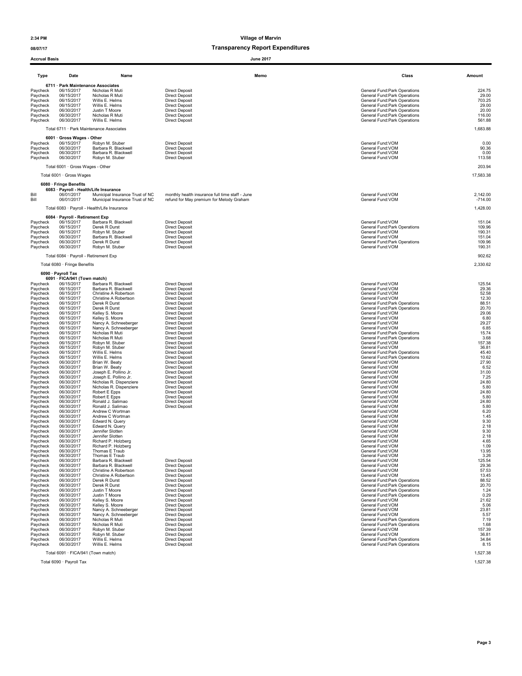### 08/07/17 08/07/17

| <b>Accrual Basis</b>                                                                                                                                                                                                                                                                                                                         |                                                                                                                                                                                                                                                                                                                                                                                                                                            |                                                                                                                                                                                                                                                                                                                                                                                                                                                                                                                                                                                        | <b>June 2017</b>                                                                                                                                                                                                                                                                                                                                                                                                                                                                                                                                                                                                                |                                                                                                                                                                                                                                                                                                                                                                                                                                                                                                                                                                                                                                                                                                    |                                                                                                                                                                                                                                                        |
|----------------------------------------------------------------------------------------------------------------------------------------------------------------------------------------------------------------------------------------------------------------------------------------------------------------------------------------------|--------------------------------------------------------------------------------------------------------------------------------------------------------------------------------------------------------------------------------------------------------------------------------------------------------------------------------------------------------------------------------------------------------------------------------------------|----------------------------------------------------------------------------------------------------------------------------------------------------------------------------------------------------------------------------------------------------------------------------------------------------------------------------------------------------------------------------------------------------------------------------------------------------------------------------------------------------------------------------------------------------------------------------------------|---------------------------------------------------------------------------------------------------------------------------------------------------------------------------------------------------------------------------------------------------------------------------------------------------------------------------------------------------------------------------------------------------------------------------------------------------------------------------------------------------------------------------------------------------------------------------------------------------------------------------------|----------------------------------------------------------------------------------------------------------------------------------------------------------------------------------------------------------------------------------------------------------------------------------------------------------------------------------------------------------------------------------------------------------------------------------------------------------------------------------------------------------------------------------------------------------------------------------------------------------------------------------------------------------------------------------------------------|--------------------------------------------------------------------------------------------------------------------------------------------------------------------------------------------------------------------------------------------------------|
| <b>Type</b>                                                                                                                                                                                                                                                                                                                                  | Date                                                                                                                                                                                                                                                                                                                                                                                                                                       | Name                                                                                                                                                                                                                                                                                                                                                                                                                                                                                                                                                                                   | Memo                                                                                                                                                                                                                                                                                                                                                                                                                                                                                                                                                                                                                            | Class                                                                                                                                                                                                                                                                                                                                                                                                                                                                                                                                                                                                                                                                                              | Amount                                                                                                                                                                                                                                                 |
| Paycheck<br>Paycheck<br>Paycheck<br>Paycheck<br>Paycheck<br>Paycheck<br>Paycheck                                                                                                                                                                                                                                                             | 6711 · Park Maintenance Associates<br>06/15/2017<br>06/15/2017<br>06/15/2017<br>06/15/2017<br>06/30/2017<br>06/30/2017<br>06/30/2017                                                                                                                                                                                                                                                                                                       | Nicholas R Muti<br>Nicholas R Muti<br>Willis E. Helms<br>Willis E. Helms<br>Justin T Moore<br>Nicholas R Muti<br>Willis E. Helms                                                                                                                                                                                                                                                                                                                                                                                                                                                       | <b>Direct Deposit</b><br><b>Direct Deposit</b><br><b>Direct Deposit</b><br><b>Direct Deposit</b><br><b>Direct Deposit</b><br><b>Direct Deposit</b><br><b>Direct Deposit</b>                                                                                                                                                                                                                                                                                                                                                                                                                                                     | General Fund: Park Operations<br>General Fund: Park Operations<br>General Fund:Park Operations<br>General Fund: Park Operations<br>General Fund:Park Operations<br>General Fund: Park Operations<br>General Fund: Park Operations                                                                                                                                                                                                                                                                                                                                                                                                                                                                  | 224.75<br>29.00<br>703.25<br>29.00<br>20.00<br>116.00<br>561.88                                                                                                                                                                                        |
|                                                                                                                                                                                                                                                                                                                                              |                                                                                                                                                                                                                                                                                                                                                                                                                                            | Total 6711 · Park Maintenance Associates                                                                                                                                                                                                                                                                                                                                                                                                                                                                                                                                               |                                                                                                                                                                                                                                                                                                                                                                                                                                                                                                                                                                                                                                 |                                                                                                                                                                                                                                                                                                                                                                                                                                                                                                                                                                                                                                                                                                    | 1,683.88                                                                                                                                                                                                                                               |
| Paycheck<br>Paycheck<br>Paycheck<br>Paycheck                                                                                                                                                                                                                                                                                                 | 6001 · Gross Wages - Other<br>06/15/2017<br>06/30/2017<br>06/30/2017<br>06/30/2017                                                                                                                                                                                                                                                                                                                                                         | Robyn M. Stuber<br>Barbara R. Blackwell<br>Barbara R. Blackwell<br>Robyn M. Stuber                                                                                                                                                                                                                                                                                                                                                                                                                                                                                                     | <b>Direct Deposit</b><br><b>Direct Deposit</b><br><b>Direct Deposit</b><br><b>Direct Deposit</b>                                                                                                                                                                                                                                                                                                                                                                                                                                                                                                                                | General Fund:VOM<br>General Fund: VOM<br>General Fund: VOM<br>General Fund: VOM                                                                                                                                                                                                                                                                                                                                                                                                                                                                                                                                                                                                                    | 0.00<br>90.36<br>0.00<br>113.58                                                                                                                                                                                                                        |
|                                                                                                                                                                                                                                                                                                                                              | Total 6001 · Gross Wages - Other                                                                                                                                                                                                                                                                                                                                                                                                           |                                                                                                                                                                                                                                                                                                                                                                                                                                                                                                                                                                                        |                                                                                                                                                                                                                                                                                                                                                                                                                                                                                                                                                                                                                                 |                                                                                                                                                                                                                                                                                                                                                                                                                                                                                                                                                                                                                                                                                                    | 203.94                                                                                                                                                                                                                                                 |
|                                                                                                                                                                                                                                                                                                                                              | Total 6001 · Gross Wages                                                                                                                                                                                                                                                                                                                                                                                                                   |                                                                                                                                                                                                                                                                                                                                                                                                                                                                                                                                                                                        |                                                                                                                                                                                                                                                                                                                                                                                                                                                                                                                                                                                                                                 |                                                                                                                                                                                                                                                                                                                                                                                                                                                                                                                                                                                                                                                                                                    | 17,583.38                                                                                                                                                                                                                                              |
| Bill<br>Bill                                                                                                                                                                                                                                                                                                                                 | 6080 · Fringe Benefits<br>6083 · Payroll - Health/Life Insurance<br>06/01/2017<br>06/01/2017                                                                                                                                                                                                                                                                                                                                               | Municipal Insurance Trust of NC<br>Municipal Insurance Trust of NC                                                                                                                                                                                                                                                                                                                                                                                                                                                                                                                     | monthly health insurance full time staff - June<br>refund for May premium for Melody Graham                                                                                                                                                                                                                                                                                                                                                                                                                                                                                                                                     | General Fund: VOM<br>General Fund: VOM                                                                                                                                                                                                                                                                                                                                                                                                                                                                                                                                                                                                                                                             | 2,142.00<br>$-714.00$                                                                                                                                                                                                                                  |
|                                                                                                                                                                                                                                                                                                                                              |                                                                                                                                                                                                                                                                                                                                                                                                                                            | Total 6083 · Payroll - Health/Life Insurance                                                                                                                                                                                                                                                                                                                                                                                                                                                                                                                                           |                                                                                                                                                                                                                                                                                                                                                                                                                                                                                                                                                                                                                                 |                                                                                                                                                                                                                                                                                                                                                                                                                                                                                                                                                                                                                                                                                                    | 1,428.00                                                                                                                                                                                                                                               |
|                                                                                                                                                                                                                                                                                                                                              | 6084 · Payroll - Retirement Exp                                                                                                                                                                                                                                                                                                                                                                                                            |                                                                                                                                                                                                                                                                                                                                                                                                                                                                                                                                                                                        |                                                                                                                                                                                                                                                                                                                                                                                                                                                                                                                                                                                                                                 |                                                                                                                                                                                                                                                                                                                                                                                                                                                                                                                                                                                                                                                                                                    |                                                                                                                                                                                                                                                        |
| Paycheck<br>Paycheck<br>Paycheck<br>Paycheck<br>Paycheck<br>Paycheck                                                                                                                                                                                                                                                                         | 06/15/2017<br>06/15/2017<br>06/15/2017<br>06/30/2017<br>06/30/2017<br>06/30/2017                                                                                                                                                                                                                                                                                                                                                           | Barbara R. Blackwell<br>Derek R Durst<br>Robyn M. Stuber<br>Barbara R. Blackwell<br>Derek R Durst<br>Robyn M. Stuber                                                                                                                                                                                                                                                                                                                                                                                                                                                                   | <b>Direct Deposit</b><br><b>Direct Deposit</b><br><b>Direct Deposit</b><br><b>Direct Deposit</b><br><b>Direct Deposit</b><br><b>Direct Deposit</b>                                                                                                                                                                                                                                                                                                                                                                                                                                                                              | General Fund: VOM<br><b>General Fund:Park Operations</b><br>General Fund: VOM<br>General Fund: VOM<br>General Fund: Park Operations<br>General Fund: VOM                                                                                                                                                                                                                                                                                                                                                                                                                                                                                                                                           | 151.04<br>109.96<br>190.31<br>151.04<br>109.96<br>190.31                                                                                                                                                                                               |
|                                                                                                                                                                                                                                                                                                                                              | Total 6084 · Payroll - Retirement Exp                                                                                                                                                                                                                                                                                                                                                                                                      |                                                                                                                                                                                                                                                                                                                                                                                                                                                                                                                                                                                        |                                                                                                                                                                                                                                                                                                                                                                                                                                                                                                                                                                                                                                 |                                                                                                                                                                                                                                                                                                                                                                                                                                                                                                                                                                                                                                                                                                    | 902.62                                                                                                                                                                                                                                                 |
|                                                                                                                                                                                                                                                                                                                                              | Total 6080 · Fringe Benefits                                                                                                                                                                                                                                                                                                                                                                                                               |                                                                                                                                                                                                                                                                                                                                                                                                                                                                                                                                                                                        |                                                                                                                                                                                                                                                                                                                                                                                                                                                                                                                                                                                                                                 |                                                                                                                                                                                                                                                                                                                                                                                                                                                                                                                                                                                                                                                                                                    | 2,330.62                                                                                                                                                                                                                                               |
|                                                                                                                                                                                                                                                                                                                                              | 6090 · Payroll Tax<br>6091 · FICA/941 (Town match)                                                                                                                                                                                                                                                                                                                                                                                         |                                                                                                                                                                                                                                                                                                                                                                                                                                                                                                                                                                                        |                                                                                                                                                                                                                                                                                                                                                                                                                                                                                                                                                                                                                                 |                                                                                                                                                                                                                                                                                                                                                                                                                                                                                                                                                                                                                                                                                                    |                                                                                                                                                                                                                                                        |
| Paycheck<br>Paycheck<br>Paycheck<br>Paycheck<br>Paycheck<br>Paycheck<br>Paycheck<br>Paycheck<br>Paycheck<br>Paycheck<br>Paycheck<br>Paycheck<br>Paycheck<br>Paycheck<br>Paycheck<br>Paycheck<br>Paycheck<br>Paycheck<br>Paycheck<br>Paycheck<br>Paycheck<br>Paycheck<br>Paycheck<br>Paycheck<br>Paycheck                                     | 06/15/2017<br>06/15/2017<br>06/15/2017<br>06/15/2017<br>06/15/2017<br>06/15/2017<br>06/15/2017<br>06/15/2017<br>06/15/2017<br>06/15/2017<br>06/15/2017<br>06/15/2017<br>06/15/2017<br>06/15/2017<br>06/15/2017<br>06/30/2017<br>06/30/2017<br>06/30/2017<br>06/30/2017<br>06/30/2017<br>06/30/2017<br>06/30/2017<br>06/30/2017<br>06/30/2017<br>06/30/2017                                                                                 | Barbara R. Blackwell<br>Christine A Robertson<br>Christine A Robertson<br>Derek R Durst<br>Derek R Durst<br>Kelley S. Moore<br>Kelley S. Moore<br>Nancy A. Schneeberger<br>Nancy A. Schneeberger<br>Nicholas R Muti<br>Nicholas R Muti<br>Robyn M. Stuber<br>Robyn M. Stuber<br>Willis E. Helms<br>Willis E. Helms<br>Brian W. Beaty<br>Brian W. Beaty<br>Joseph E. Pollino Jr.<br>Joseph E. Pollino Jr.<br>Nicholas R. Dispenziere<br>Nicholas R. Dispenziere<br>Robert E Epps<br>Robert E Epps<br>Ronald J. Salimao<br>Ronald J. Salimao                                             | <b>Direct Deposit</b><br><b>Direct Deposit</b><br><b>Direct Deposit</b><br><b>Direct Deposit</b><br><b>Direct Deposit</b><br><b>Direct Deposit</b><br><b>Direct Deposit</b><br><b>Direct Deposit</b><br><b>Direct Deposit</b><br><b>Direct Deposit</b><br><b>Direct Deposit</b><br>Direct Deposit<br><b>Direct Deposit</b><br><b>Direct Deposit</b><br><b>Direct Deposit</b><br><b>Direct Deposit</b><br><b>Direct Deposit</b><br><b>Direct Deposit</b><br><b>Direct Deposit</b><br><b>Direct Deposit</b><br><b>Direct Deposit</b><br>Direct Deposit<br><b>Direct Deposit</b><br><b>Direct Deposit</b><br><b>Direct Deposit</b> | General Fund: VOM<br>General Fund: VOM<br>General Fund: VOM<br>General Fund: Park Operations<br>General Fund: Park Operations<br>General Fund: VOM<br>General Fund:VOM<br>General Fund: VOM<br>General Fund: VOM<br>General Fund: Park Operations<br>General Fund: Park Operations<br>General Fund:VOM<br>General Fund: VOM<br>General Fund: Park Operations<br>General Fund: Park Operations<br>General Fund: VOM<br>General Fund:VOM<br>General Fund: VOM<br>General Fund: VOM<br>General Fund: VOM<br>General Fund: VOM<br>General Fund: VOM<br>General Fund: VOM<br>General Fund: VOM<br>General Fund: VOM                                                                                     | 29.36<br>52.58<br>12.30<br>88.51<br>20.70<br>29.06<br>6.80<br>29.27<br>6.85<br>15.74<br>3.68<br>157.38<br>36.81<br>45.40<br>10.62<br>27.90<br>6.52<br>31.00<br>7.25<br>24.80<br>5.80<br>24.80<br>5.80<br>24.80<br>5.80                                 |
| Pavcheck<br>Paycheck<br>Paycheck<br>Paycheck<br>Paycheck<br>Paycheck<br>Paycneck<br>Paycheck<br>Paycheck<br>Paycheck<br>Paycheck<br>Paycheck<br>Paycheck<br>Pavcheck<br>Paycheck<br>Paycheck<br>Paycheck<br>Paycheck<br>Paycheck<br>Pavcheck<br>Paycheck<br>Paycheck<br>Paycheck<br>Paycheck<br>Paycheck<br>Paycheck<br>Paycheck<br>Paycheck | 06/30/2017<br>06/30/2017<br>06/30/2017<br>06/30/2017<br>06/30/2017<br>06/30/2017<br>06/30/2017<br>06/30/2017<br>06/30/2017<br>06/30/2017<br>06/30/2017<br>06/30/2017<br>06/30/2017<br>06/30/2017<br>06/30/2017<br>06/30/2017<br>06/30/2017<br>06/30/2017<br>06/30/2017<br>06/30/2017<br>06/30/2017<br>06/30/2017<br>06/30/2017<br>06/30/2017<br>06/30/2017<br>06/30/2017<br>06/30/2017<br>06/30/2017<br>Total 6091 · FICA/941 (Town match) | Andrew C Wortman<br>Andrew C Wortman<br>Edward N. Query<br>Edward N. Query<br>Jennifer Slotten<br>Jennifer Slotten<br>Richard P. Holzberg<br>Richard P. Holzberg<br>Thomas E Traub<br>Thomas E Traub<br>Barbara R. Blackwell<br>Barbara R. Blackwell<br>Christine A Robertson<br>Christine A Robertson<br>Derek R Durst<br>Derek R Durst<br>Justin T Moore<br>Justin T Moore<br>Kelley S. Moore<br>Kelley S. Moore<br>Nancy A. Schneeberger<br>Nancy A. Schneeberger<br>Nicholas R Muti<br>Nicholas R Muti<br>Robyn M. Stuber<br>Robyn M. Stuber<br>Willis E. Helms<br>Willis E. Helms | <b>Direct Deposit</b><br>Direct Deposit<br><b>Direct Deposit</b><br><b>Direct Deposit</b><br><b>Direct Deposit</b><br><b>Direct Deposit</b><br><b>Direct Deposit</b><br><b>Direct Deposit</b><br><b>Direct Deposit</b><br><b>Direct Deposit</b><br><b>Direct Deposit</b><br>Direct Deposit<br><b>Direct Deposit</b><br><b>Direct Deposit</b><br><b>Direct Deposit</b><br><b>Direct Deposit</b><br><b>Direct Deposit</b><br><b>Direct Deposit</b>                                                                                                                                                                                | General Fund: VOM<br>General Fund: VOM<br>General Fund: VOM<br>General Fund:VOM<br>General Fund: VOM<br>General Fund:VOM<br>General Fund: VOM<br>General Fund: VOM<br>General Fund: VOM<br>General Fund:VOM<br>General Fund:VOM<br>General Fund: VOM<br>General Fund: VOM<br>General Fund: VOM<br>General Fund: Park Operations<br>General Fund: Park Operations<br>General Fund: Park Operations<br>General Fund:Park Operations<br>General Fund: VOM<br>General Fund: VOM<br>General Fund: VOM<br>General Fund: VOM<br>General Fund: Park Operations<br>General Fund: Park Operations<br>General Fund:VOM<br>General Fund: VOM<br>General Fund: Park Operations<br>General Fund: Park Operations | 6.20<br>1.45<br>9.30<br>2.18<br>9.30<br>2.18<br>4.65<br>1.09<br>13.95<br>3.26<br>125.54<br>29.36<br>57.53<br>13.45<br>88.52<br>20.70<br>1.24<br>0.29<br>21.62<br>5.06<br>23.81<br>5.57<br>7.19<br>1.68<br>157.39<br>36.81<br>34.84<br>8.15<br>1,527.38 |

Total 6090 · Payroll Tax 1,527.38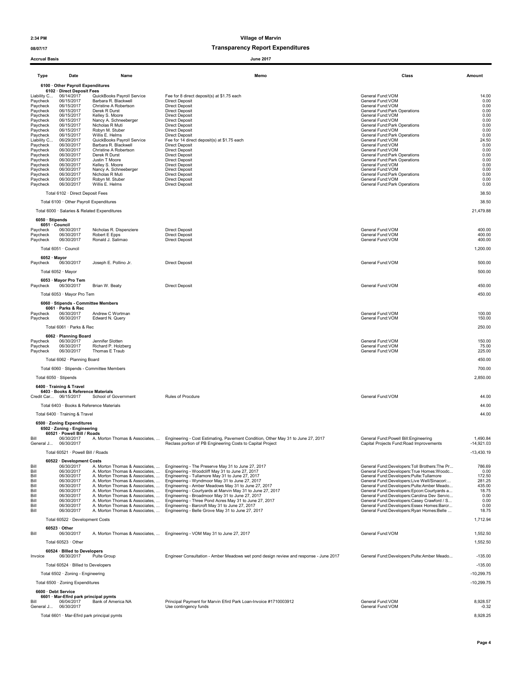#### 08/07/17 Transparency Report Expenditures

Accrual Basis June 2017

#### Type Date Name Memo Class Amount 6100 · Other Payroll Expenditures 6102 · Direct Deposit Fees<br>Liability C. 06/14/2017 QuickBooks Payroll Service Liability C... 06/14/2017 QuickBooks Payroll Service Fee for 8 direct deposit<br>
Paycheck 06/15/2017 Barbara R. Blackwell Direct Deposit Direct Deposit General Fund:VOM General Fund:VOM 14.00<br>
Paycheck 06/15/2017 Christine A Paycheck 06/15/2017 Barbara R. Blackwell Direct Deposit General Fund:VOM 0.00 Paycheck 06/15/2017 Christine A Robertson Direct Deposit General Fund:VOM General Fund:VOM 0.00 Paycheck 06/15/2017 Derek R Durst Direct Deposit Direct Deposit General Fund:Park Operations Control of Direct Deposit Direct Deposit General Fund:Park Operations 0.00 Paycheck 06/15/2017 Kelley S. Moore Direct Deposit General Fund:VOM 0.00 Paycheck 06/15/2017 Bandwark.Bakewell Direct Deposit<br>Paycheck 06/15/2017 Christine-A. Robertson Direct Deposit<br>Paycheck 06/15/2017 Nelley S. Moore Direct Deposit<br>Paycheck 06/15/2017 Nicholas R. Munited Direct Deposit Gene Paycheck 06/15/2017 Nicholas R Muti Direct Deposit General Fund:Park Operations 0.00 Paycheck 06/15/2017 Robyn M. Stuber Direct Deposit<br>Paycheck 06/15/2017 Robyn M. Stuber Direct Deposit<br>Paycheck 06/15/2017 Willis E. Helms Direct Deposit Direct Deposit<br>Liability C... 06/29/2017 QuickBooks Payroll Service F Paycheck 06/15/2017 Willis E. Helms Direct Deposit General Fund:Park Operations 0<br>Liability C... 06/29/2017 QuickBooks Payroll Service Fee for 14 direct deposit(s) at \$1.75 each Paycheck 06/30/2017 Barbara R. Blackwell Direct Deposit General Fund:VOM 0.00 Paycheck 06/30/2017 Christine A Robertson Direct Deposit<br>Paycheck 06/30/2017 Christine A Robertson Direct Deposit<br>Paycheck 06/30/2017 Derek R Durst Direct Deposit Direct Deposit<br>Paycheck 06/30/2017 Justin I More<br>Christine Paycheck 06/30/2017 Derek R Durst Direct Deposit General Fund:Park Operations 6.00 96/30/2017 Justin T Moore Direct Deposit<br>196/30/2017 Assimilations Direct Deposit Direct Deposit General Fund:Park Operations (2009)<br>196/30/2017 Mancy A. Schneeberger Direct Deposit Direct Deposit General Fund:VOM General Paycheck 06/30/2017 Kelley S. Moore Direct Deposit General Fund:VOM 0.00 Paycheck 06/30/2017 Nancy A. Schneeberger Direct Deposit General Fund:VOM 0.00 Paycheck 06/30/2017 Nicholas R.Muti – Direct Deposit<br>Paycheck 06/30/2017 Robyn M. Stuber – Direct Deposit General Fund:Park of General Fund:VOM – General Fund:Park Operations 0.00<br>Paycheck 06/30/2017 Willis E. Helms – Dir Paycheck 06/30/2017 Robyn M. Stuber Direct Deposit **Direct Deposit General Fund:VOM** General Fund:VOM 0.00 Paycheck 06/30/2017 Willis E. Helms Direct Deposit General Fund:Park Operations 0.00 Total 6102 · Direct Deposit Fees 38.50 Total 6100 · Other Payroll Expenditures 38.50 Total 6000 · Salaries & Related Expenditures 21,479.88 6050 · Stipends 6051 · Council<br>Paycheck 06/30/2017 Paycheck 06/30/2017 Nicholas R. Dispenziere Direct Deposit<br>Paycheck 06/30/2017 Nicholas R. Dispenziere Direct Deposit General Fund:VOM General Fund:VOM 400.00<br>Paycheck 06/30/2017 Robert E Epps Paycheck 06/30/2017 Robert E Epps Direct Deposit Birect Deposit General Fund:VOM General Fund:VOM 400.00 Paycheck 06/30/2017 Ronald J. Salimao Direct Deposit Deposit General Fund:VOM General Fund:VOM 400.00 Total 6051 · Council 1,200.00  $6052 \cdot$  Mayor<br>Paycheck 06/30/2017 Paycheck 06/30/2017 Joseph E. Pollino Jr. Direct Deposit General Fund:VOM 500.00 Total 6052 · Mayor 500.00 6053 · Mayor Pro Tem<br>Pavcheck 06/30/2017 Paycheck 06/30/2017 Brian W. Beaty **Direct Deposit General Fund:VOM 450.00** 450.00 Total 6053 · Mayor Pro Tem 450.00 6060 · Stipends - Committee Members 6061 · Parks & Rec Paycheck 06/30/2017 Andrew C Wortman General Fund:VOM 100.00<br>Paycheck 06/30/2017 Edward N. Query General Fund:VOM 150.000 Intervention of the Superintent of the Superinten Total 6061 · Parks & Rec 250.00 6062 · Planning Board<br>Paycheck 06/30/2017 Jennifer Slotten Paycheck 06/30/2017 Jennifer Slotten General Fund:VOM 150.00 Paycheck 06/30/2017 Richard P. Holzberg General Fund:VOM 75.00 Paycheck 06/30/2017 Thomas E Traub General Fund:VOM 225.00 Total 6062 · Planning Board 450.00 Total 6060 · Stipends - Committee Members 700.00 Total 6050 · Stipends 2,850.00 6400 · Training & Travel 6403 · Books & Reference Materials Credit Car... 06/15/2017 School of Government Rules of Procdure General Fund:VOM 44.00 Total 6403 · Books & Reference Materials 44.00 Total 6400 · Training & Travel 44.00 6500 · Zoning Expenditures 6502 · Zoning - Engineering 60521 · Powell Bill / Roads Bill 06/30/2017 A. Morton Thomas & Associates, ... Engineering - Cost Estimating, Pavement Condition, Other May 31 to June 27, 2017 General Fund:Powell Bill:Engineering outstand the May 31 to June 27, 2017 06/30/2017 A. Mo Engineering Costs to Capital Project Reclass portion of PB Engineering Costs to Capital Project Total 60521 · Powell Bill / Roads -13,430.19 60522 · Development Costs<br>06/30/2017 A. Morton Thomas & Associates, Bill 06/30/2017 A. Morton Thomas & Associates, ... Engineering - The Preserve May 31 to June 27, 2017 General Fund:Developers:Toll Brothers:The Pr... 786.69 Bill 06/30/2017 A. Morton Thomas & Associates, ... Engineering - Woodcliff May 31 to June 27, 2017 General Fund:Developers:True Homes:Woodc... 0.00 Bill 06/30/2017 A. Morton Thomas & Associates, ... Engineering - Tullamore May 31 to June 27, 2017 General Fund:Developers:Pulte:Tullamore 172.50 Bill 06/30/2017 A. Morton Thomas & Associates, ... Engineering - Wyndmoor May 31 to June 27, 2017 Ceneral Fund:Developers:Live Well/Sinacori:... 281.25<br>
Bill 06/30/2017 A. Morton Thomas & Associates, ... Engineering - Cour Bill 06/30/2017 A. Morton Thomas & Associates, ... Engineering - Amber Meadows May 31 to June 27, 2017 ... [20<br>- 1999 ... [20] A. Morton Thomas & Associates, ... Engineering - Courtyards at Marvin May 31 to June 27, 2017<br> Bill 06/30/2017 A. Morton Thomas & Associates, … Engineering - Three Pond Acres May 31 to June 27, 2017 General Fund:Developers:Casey Crawford / S… 0.00<br>Bill 06/30/2017 A. Morton Thomas & As Bill 06/30/2017 A. Morton Thomas & Associates, ... Engineering - Belle Grove May 31 to June 27, 2017 General Fund:Developers:Ryan Homes:Belle ... 18.75 Total 60522 · Development Costs 1,712.94 60523  $\cdot$  Other<br>06/30/2017 Bill 06/30/2017 A. Morton Thomas & Associates, ... Engineering - VOM May 31 to June 27, 2017 General Fund:VOM Ceneral Fund:VOM 1,552.50  $\blacksquare$  Total 60523  $\cdot$  Other  $\blacksquare$ 60524 · Billed to Developers<br>
06/30/2017 Pulte Group Invoice 06/30/2017 Pulte Group Engineer Consultation - Amber Meadows wet pond design review and response - June 2017 General Fund:Developers:Pulte:Amber Meado... -135.00 Total 60524 · Billed to Developers -135.00 Total 6502 · Zoning - Engineering -10,299.75 Total 6500 · Zoning Expenditures -10,299.75 6600 · Debt Service 6601 · Mar-Efird park principal pymts Bill 06/04/2017 Bank of America NA Principal Payment for Marvin Efird Park Loan-Invoice #1710003912 General Fund:VOM General Fund:VOM 8,928.57<br>General J... 06/30/2017 Bank of America NA Use contingency funds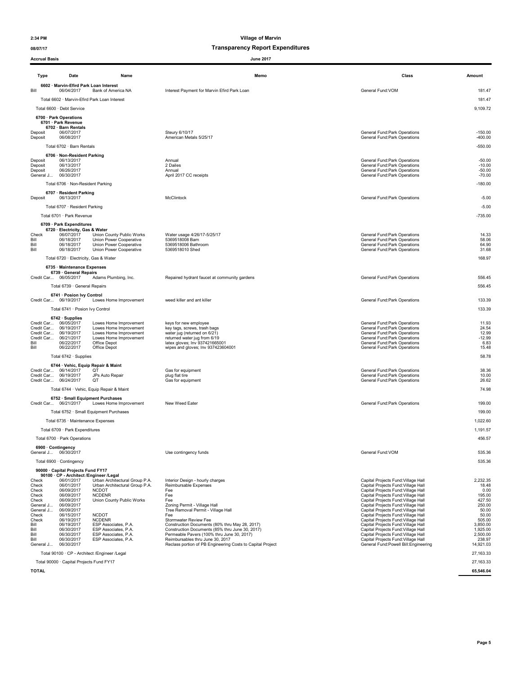08/07/17 Transparency Report Expenditures

| <b>Accrual Basis</b>   |                                                                               |                                                                  | <b>June 2017</b>                                                                                  |                                                                            |                        |
|------------------------|-------------------------------------------------------------------------------|------------------------------------------------------------------|---------------------------------------------------------------------------------------------------|----------------------------------------------------------------------------|------------------------|
| Type                   | Date                                                                          | Name                                                             | Memo                                                                                              | Class                                                                      | Amount                 |
| Bill                   | 6602 · Marvin-Efird Park Loan Interest<br>06/04/2017                          | Bank of America NA                                               | Interest Payment for Marvin Efird Park Loan                                                       | General Fund:VOM                                                           | 181.47                 |
|                        |                                                                               | Total 6602 · Marvin-Efird Park Loan Interest                     |                                                                                                   |                                                                            | 181.47                 |
|                        | Total 6600 · Debt Service                                                     |                                                                  |                                                                                                   |                                                                            | 9,109.72               |
|                        | 6700 · Park Operations                                                        |                                                                  |                                                                                                   |                                                                            |                        |
|                        | 6701 · Park Revenue<br>6702 · Barn Rentals                                    |                                                                  |                                                                                                   |                                                                            |                        |
| Deposit<br>Deposit     | 06/07/2017<br>06/08/2017                                                      |                                                                  | Steury 6/10/17<br>American Metals 5/25/17                                                         | General Fund: Park Operations<br>General Fund: Park Operations             | $-150.00$<br>$-400.00$ |
|                        | Total 6702 · Barn Rentals                                                     |                                                                  |                                                                                                   |                                                                            | $-550.00$              |
|                        | 6706 · Non-Resident Parking                                                   |                                                                  |                                                                                                   |                                                                            |                        |
| Deposit<br>Deposit     | 06/13/2017<br>06/13/2017                                                      |                                                                  | Annual<br>2 Dailes                                                                                | General Fund: Park Operations<br>General Fund: Park Operations             | $-50.00$<br>$-10.00$   |
| Deposit                | 06/26/2017                                                                    |                                                                  | Annual                                                                                            | General Fund: Park Operations                                              | $-50.00$               |
| General J              | 06/30/2017                                                                    |                                                                  | April 2017 CC receipts                                                                            | General Fund: Park Operations                                              | $-70.00$               |
|                        | Total 6706 · Non-Resident Parking                                             |                                                                  |                                                                                                   |                                                                            | $-180.00$              |
| Deposit                | 6707 · Resident Parking<br>06/13/2017                                         |                                                                  | McClintock                                                                                        | General Fund: Park Operations                                              | $-5.00$                |
|                        | Total 6707 · Resident Parking                                                 |                                                                  |                                                                                                   |                                                                            | $-5.00$                |
|                        | Total 6701 · Park Revenue                                                     |                                                                  |                                                                                                   |                                                                            | $-735.00$              |
|                        | 6709 · Park Expenditures                                                      |                                                                  |                                                                                                   |                                                                            |                        |
| Check                  | 6720 · Electricity, Gas & Water<br>06/07/2017                                 | Union County Public Works                                        | Water usage 4/26/17-5/25/17                                                                       | General Fund: Park Operations                                              | 14.33                  |
| Bill<br>Bill           | 06/18/2017<br>06/18/2017                                                      | Union Power Cooperative<br>Union Power Cooperative               | 5369518008 Barn<br>5369518006 Bathroom                                                            | General Fund: Park Operations<br>General Fund: Park Operations             | 58.06<br>64.90         |
| Bill                   | 06/18/2017                                                                    | Union Power Cooperative                                          | 5369518010 Shed                                                                                   | General Fund: Park Operations                                              | 31.68                  |
|                        | Total 6720 · Electricity, Gas & Water                                         |                                                                  |                                                                                                   |                                                                            | 168.97                 |
|                        | 6735 · Maintenance Expenses<br>6739 · General Repairs                         |                                                                  |                                                                                                   |                                                                            |                        |
|                        | Credit Car 06/05/2017                                                         | Adams Plumbing, Inc.                                             | Repaired hydrant faucet at community gardens                                                      | General Fund: Park Operations                                              | 556.45                 |
|                        | Total 6739 · General Repairs                                                  |                                                                  |                                                                                                   |                                                                            | 556.45                 |
|                        | 6741 · Posion Ivy Control                                                     |                                                                  |                                                                                                   |                                                                            |                        |
|                        | Credit Car 06/19/2017                                                         | Lowes Home Improvement                                           | weed killer and ant killer                                                                        | General Fund: Park Operations                                              | 133.39                 |
|                        | Total 6741 · Posion Ivy Control                                               |                                                                  |                                                                                                   |                                                                            | 133.39                 |
|                        | $6742 \cdot$ Supplies<br>Credit Car 06/05/2017                                | Lowes Home Improvement                                           | keys for new employee                                                                             | General Fund: Park Operations                                              | 11.93                  |
|                        | Credit Car 06/19/2017<br>Credit Car 06/19/2017                                | Lowes Home Improvement<br>Lowes Home Improvement                 | key tags, screws, trash bags<br>water jug (returned on 6/21)                                      | General Fund: Park Operations<br>General Fund: Park Operations             | 24.54<br>12.99         |
| Bill                   | Credit Car 06/21/2017<br>06/22/2017                                           | Lowes Home Improvement<br>Office Depot                           | returned water jug from 6/19<br>latex gloves; Inv 937421665001                                    | General Fund: Park Operations<br>General Fund: Park Operations             | $-12.99$<br>6.83       |
| Bill                   | 06/22/2017                                                                    | Office Depot                                                     | wipes and gloves; Inv 937423604001                                                                | General Fund: Park Operations                                              | 15.48                  |
|                        | Total 6742 · Supplies                                                         |                                                                  |                                                                                                   |                                                                            | 58.78                  |
|                        |                                                                               | 6744 · Vehic, Equip Repair & Maint<br>QT                         |                                                                                                   |                                                                            |                        |
|                        | Credit Car 06/14/2017<br>Credit Car 06/19/2017                                | JPs Auto Repair                                                  | Gas for equipment<br>plug flat tire                                                               | General Fund: Park Operations<br>General Fund:Park Operations              | 38.36<br>10.00         |
|                        | Credit Car 06/24/2017                                                         | QT                                                               | Gas for equipment                                                                                 | General Fund: Park Operations                                              | 26.62                  |
|                        |                                                                               | Total 6744 · Vehic, Equip Repair & Maint                         |                                                                                                   |                                                                            | 74.98                  |
|                        | Credit Car 06/21/2017                                                         | 6752 · Small Equipment Purchases<br>Lowes Home Improvement       | New Weed Eater                                                                                    | General Fund: Park Operations                                              | 199.00                 |
|                        |                                                                               | Total 6752 · Small Equipment Purchases                           |                                                                                                   |                                                                            | 199.00                 |
|                        | Total 6735 · Maintenance Expenses                                             |                                                                  |                                                                                                   |                                                                            | 1,022.60               |
|                        | Total 6709 · Park Expenditures                                                |                                                                  |                                                                                                   |                                                                            | 1,191.57               |
|                        | Total 6700 · Park Operations                                                  |                                                                  |                                                                                                   |                                                                            | 456.57                 |
|                        | 6900 · Contingency                                                            |                                                                  |                                                                                                   |                                                                            |                        |
|                        | General J 06/30/2017                                                          |                                                                  | Use contingency funds                                                                             | General Fund:VOM                                                           | 535.36                 |
|                        | Total 6900 · Contingency                                                      |                                                                  |                                                                                                   |                                                                            | 535.36                 |
|                        | 90000 · Capital Projects Fund FY17<br>90100 · CP - Architect /Engineer /Legal |                                                                  |                                                                                                   |                                                                            |                        |
| Check<br>Check         | 06/01/2017<br>06/01/2017                                                      | Urban Architectural Group P.A.<br>Urban Architectural Group P.A. | Interior Design - hourly charges<br>Reimbursable Expenses                                         | Capital Projects Fund: Village Hall<br>Capital Projects Fund: Village Hall | 2,232.35<br>18.48      |
| Check<br>Check         | 06/09/2017<br>06/09/2017                                                      | <b>NCDOT</b><br><b>NCDENR</b>                                    | Fee<br>Fee                                                                                        | Capital Projects Fund: Village Hall<br>Capital Projects Fund: Village Hall | 0.00<br>195.00         |
| Check                  | 06/09/2017                                                                    | Union County Public Works                                        | Fee                                                                                               | Capital Projects Fund: Village Hall                                        | 427.50                 |
| General J<br>General J | 06/09/2017<br>06/09/2017                                                      |                                                                  | Zoning Permit - Village Hall<br>Tree Removal Permit - Village Hall                                | Capital Projects Fund: Village Hall<br>Capital Projects Fund: Village Hall | 250.00<br>50.00        |
| Check<br>Check         | 06/15/2017<br>06/19/2017                                                      | <b>NCDOT</b><br><b>NCDENR</b>                                    | Fee<br>Stormwater Review Fee                                                                      | Capital Projects Fund: Village Hall<br>Capital Projects Fund: Village Hall | 50.00<br>505.00        |
| Bill<br>Bill           | 06/19/2017<br>06/30/2017                                                      | ESP Associates, P.A.<br>ESP Associates, P.A.                     | Construction Documents (80% thru May 28, 2017)<br>Construction Documents (85% thru June 30, 2017) | Capital Projects Fund: Village Hall<br>Capital Projects Fund: Village Hall | 3,850.00<br>1,925.00   |
| Bill<br>Bill           | 06/30/2017<br>06/30/2017                                                      | ESP Associates, P.A.<br>ESP Associates, P.A.                     | Permeable Pavers (100% thru June 30, 2017)<br>Reimbursables thru June 30, 2017                    | Capital Projects Fund: Village Hall<br>Capital Projects Fund: Village Hall | 2,500.00<br>238.97     |
| General J              | 06/30/2017                                                                    |                                                                  | Reclass portion of PB Engineering Costs to Capital Project                                        | General Fund: Powell Bill: Engineering                                     | 14,921.03              |
|                        |                                                                               | Total 90100 · CP - Architect / Engineer / Legal                  |                                                                                                   |                                                                            | 27,163.33              |
|                        | Total 90000 · Capital Projects Fund FY17                                      |                                                                  |                                                                                                   |                                                                            | 27, 163.33             |

 $\,$ TOTAL $\,$   $\,$  65,546.04  $\,$  65,546.04  $\,$  65,546.04  $\,$  65,546.04  $\,$  65,546.04  $\,$  65,546.04  $\,$  65,546.04  $\,$  65,546.04  $\,$  65,546.04  $\,$  65,546.04  $\,$  65,546.04  $\,$  65,546.04  $\,$  65,546.04  $\,$  65,546.